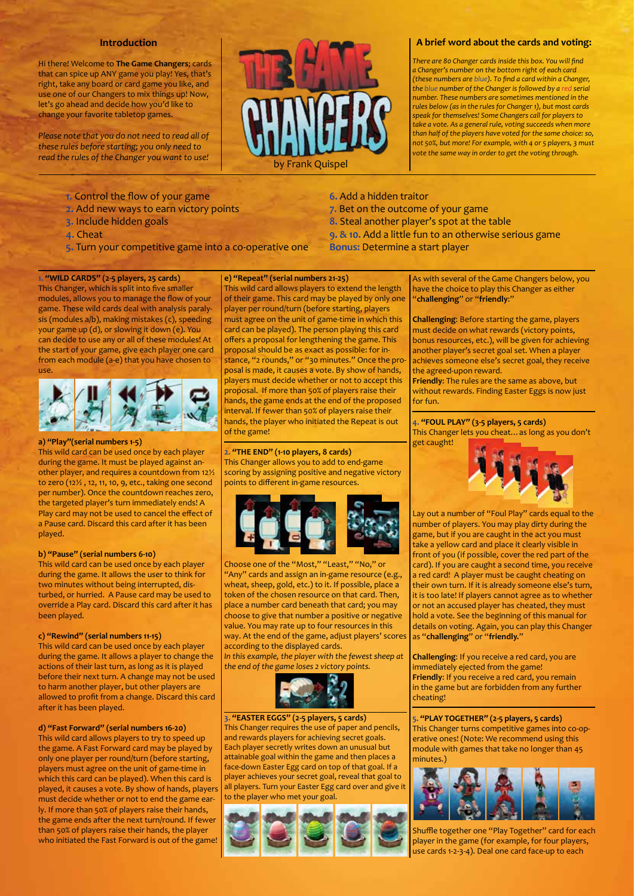# **Introduction**

Hi there! Welcome to **The Game Changers**; cards that can spice up ANY game you play! Yes, that's right, take any board or card game you like, and use one of our Changers to mix things up! Now, let's go ahead and decide how you'd like to change your favorite tabletop games.

*Please note that you do not need to read all of these rules before starting; you only need to read the rules of the Changer you want to use!*



**6.** Add a hidden traitor

**7.** Bet on the outcome of your game **8.** Steal another player's spot at the table

**Bonus:** Determine a start player

**9. & 10.** Add a little fun to an otherwise serious game

## **A brief word about the cards and voting:**

*There are 80 Changer cards inside this box. You will find a Changer's number on the bottom right of each card (these numbers are blue). To find a card within a Changer, the blue number of the Changer is followed by a red serial number. These numbers are sometimes mentioned in the rules below (as in the rules for Changer 1), but most cards speak for themselves! Some Changers call for players to take a vote. As a general rule, voting succeeds when more than half of the players have voted for the same choice: so, not 50%, but more! For example, with 4 or 5 players, 3 must vote the same way in order to get the voting through.*

- **1.** Control the flow of your game
- **2.** Add new ways to earn victory points
- **3.** Include hidden goals
- **4.** Cheat
- **5.** Turn your competitive game into a co-operative one

### **e) "Repeat" (serial numbers 21-25)**

**1. "WILD CARDS" (2-5 players, 25 cards)** This Changer, which is split into five smaller modules, allows you to manage the flow of your game. These wild cards deal with analysis paralysis (modules a/b), making mistakes (c), speeding your game up (d), or slowing it down (e). You can decide to use any or all of these modules! At the start of your game, give each player one card from each module (a-e) that you have chosen to use.



#### **a) "Play"(serial numbers 1-5)**

This wild card can be used once by each player during the game. It must be played against another player, and requires a countdown from 12½ to zero (12½ , 12, 11, 10, 9, etc., taking one second per number). Once the countdown reaches zero, the targeted player's turn immediately ends! A Play card may not be used to cancel the effect of a Pause card. Discard this card after it has been played.

## **b) "Pause" (serial numbers 6-10)**

This wild card can be used once by each player during the game. It allows the user to think for two minutes without being interrupted, disturbed, or hurried. A Pause card may be used to override a Play card. Discard this card after it has been played.

#### **c) "Rewind" (serial numbers 11-15)**

This wild card can be used once by each player during the game. It allows a player to change the actions of their last turn, as long as it is played before their next turn. A change may not be used to harm another player, but other players are allowed to profit from a change. Discard this card after it has been played.

## **d) "Fast Forward" (serial numbers 16-20)**

This wild card allows players to try to speed up the game. A Fast Forward card may be played by only one player per round/turn (before starting, players must agree on the unit of game-time in which this card can be played). When this card is played, it causes a vote. By show of hands, players must decide whether or not to end the game early. If more than 50% of players raise their hands, the game ends after the next turn/round. If fewer than 50% of players raise their hands, the player who initiated the Fast Forward is out of the game! This wild card allows players to extend the length of their game. This card may be played by only one player per round/turn (before starting, players must agree on the unit of game-time in which this card can be played). The person playing this card offers a proposal for lengthening the game. This proposal should be as exact as possible: for instance, "2 rounds," or "30 minutes." Once the proposal is made, it causes a vote. By show of hands, players must decide whether or not to accept this proposal. If more than 50% of players raise their hands, the game ends at the end of the proposed interval. If fewer than 50% of players raise their hands, the player who initiated the Repeat is out of the game!

# **2. "THE END" (1-10 players, 8 cards)**

This Changer allows you to add to end-game scoring by assigning positive and negative victory points to different in-game resources.



Choose one of the "Most," "Least," "No," or "Any" cards and assign an in-game resource (e.g., wheat, sheep, gold, etc.) to it. If possible, place a token of the chosen resource on that card. Then, place a number card beneath that card; you may choose to give that number a positive or negative value. You may rate up to four resources in this way. At the end of the game, adjust players' scores according to the displayed cards. *In this example, the player with the fewest sheep at* 

*the end of the game loses 2 victory points.*



**3. "EASTER EGGS" (2-5 players, 5 cards)** This Changer requires the use of paper and pencils, and rewards players for achieving secret goals. Each player secretly writes down an unusual but attainable goal within the game and then places a face-down Easter Egg card on top of that goal. If a player achieves your secret goal, reveal that goal to all players. Turn your Easter Egg card over and give it to the player who met your goal.



As with several of the Game Changers below, you have the choice to play this Changer as either "**challenging**" or "**friendly**:"

**Challenging**: Before starting the game, players must decide on what rewards (victory points, bonus resources, etc.), will be given for achieving another player's secret goal set. When a player achieves someone else's secret goal, they receive the agreed-upon reward.

**Friendly**: The rules are the same as above, but without rewards. Finding Easter Eggs is now just for fun.

**4. "FOUL PLAY" (3-5 players, 5 cards)** This Changer lets you cheat…as long as you don't get caught!



Lay out a number of "Foul Play" cards equal to the number of players. You may play dirty during the game, but if you are caught in the act you must take a yellow card and place it clearly visible in front of you (if possible, cover the red part of the card). If you are caught a second time, you receive a red card! A player must be caught cheating on their own turn. If it is already someone else's turn, it is too late! If players cannot agree as to whether or not an accused player has cheated, they must hold a vote. See the beginning of this manual for details on voting. Again, you can play this Changer as "**challenging**" or "**friendly.**"

**Challenging**: If you receive a red card, you are immediately ejected from the game! **Friendly**: If you receive a red card, you remain in the game but are forbidden from any further cheating!

**5. "PLAY TOGETHER" (2-5 players, 5 cards)** This Changer turns competitive games into co-operative ones! (Note: We recommend using this module with games that take no longer than 45 minutes.)



Shuffle together one "Play Together" card for each player in the game (for example, for four players, use cards 1-2-3-4). Deal one card face-up to each